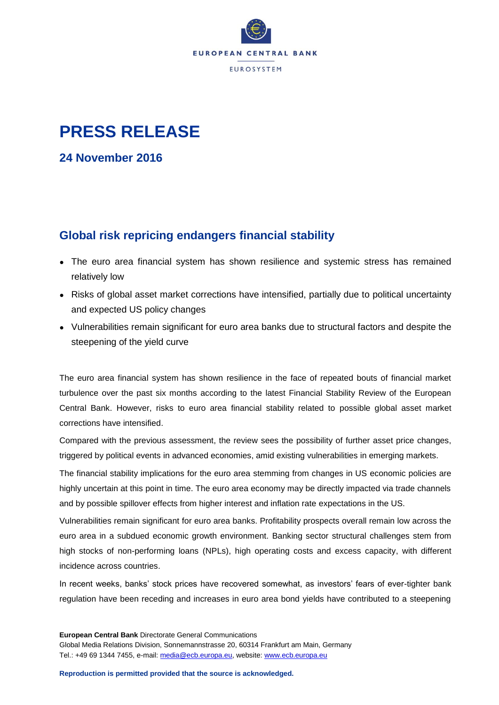

## **PRESS RELEASE**

**24 November 2016**

## **Global risk repricing endangers financial stability**

- The euro area financial system has shown resilience and systemic stress has remained relatively low
- Risks of global asset market corrections have intensified, partially due to political uncertainty and expected US policy changes
- Vulnerabilities remain significant for euro area banks due to structural factors and despite the steepening of the yield curve

The euro area financial system has shown resilience in the face of repeated bouts of financial market turbulence over the past six months according to the latest Financial Stability Review of the European Central Bank. However, risks to euro area financial stability related to possible global asset market corrections have intensified.

Compared with the previous assessment, the review sees the possibility of further asset price changes, triggered by political events in advanced economies, amid existing vulnerabilities in emerging markets.

The financial stability implications for the euro area stemming from changes in US economic policies are highly uncertain at this point in time. The euro area economy may be directly impacted via trade channels and by possible spillover effects from higher interest and inflation rate expectations in the US.

Vulnerabilities remain significant for euro area banks. Profitability prospects overall remain low across the euro area in a subdued economic growth environment. Banking sector structural challenges stem from high stocks of non-performing loans (NPLs), high operating costs and excess capacity, with different incidence across countries.

In recent weeks, banks' stock prices have recovered somewhat, as investors' fears of ever-tighter bank regulation have been receding and increases in euro area bond yields have contributed to a steepening

**European Central Bank** Directorate General Communications Global Media Relations Division, Sonnemannstrasse 20, 60314 Frankfurt am Main, Germany Tel.: +49 69 1344 7455, e-mail: [media@ecb.europa.eu,](mailto:media@ecb.europa.eu) website[: www.ecb.europa.eu](http://www.ecb.europa.eu/)